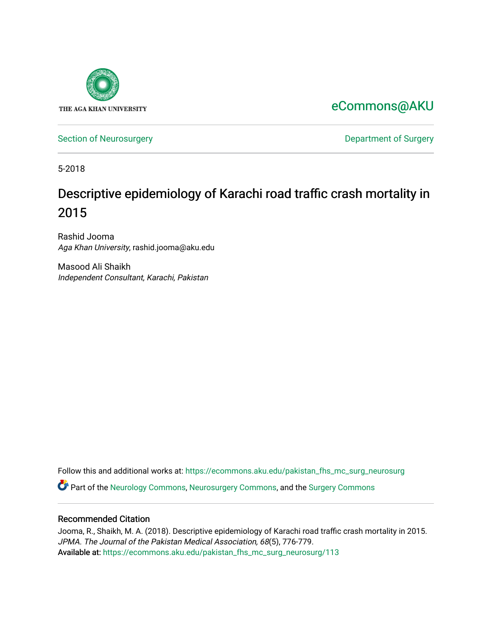

[eCommons@AKU](https://ecommons.aku.edu/) 

[Section of Neurosurgery](https://ecommons.aku.edu/pakistan_fhs_mc_surg_neurosurg) **Department of Surgery** Department of Surgery

5-2018

# Descriptive epidemiology of Karachi road traffic crash mortality in 2015

Rashid Jooma Aga Khan University, rashid.jooma@aku.edu

Masood Ali Shaikh Independent Consultant, Karachi, Pakistan

Follow this and additional works at: [https://ecommons.aku.edu/pakistan\\_fhs\\_mc\\_surg\\_neurosurg](https://ecommons.aku.edu/pakistan_fhs_mc_surg_neurosurg?utm_source=ecommons.aku.edu%2Fpakistan_fhs_mc_surg_neurosurg%2F113&utm_medium=PDF&utm_campaign=PDFCoverPages) 

Part of the [Neurology Commons](http://network.bepress.com/hgg/discipline/692?utm_source=ecommons.aku.edu%2Fpakistan_fhs_mc_surg_neurosurg%2F113&utm_medium=PDF&utm_campaign=PDFCoverPages), [Neurosurgery Commons](http://network.bepress.com/hgg/discipline/1428?utm_source=ecommons.aku.edu%2Fpakistan_fhs_mc_surg_neurosurg%2F113&utm_medium=PDF&utm_campaign=PDFCoverPages), and the [Surgery Commons](http://network.bepress.com/hgg/discipline/706?utm_source=ecommons.aku.edu%2Fpakistan_fhs_mc_surg_neurosurg%2F113&utm_medium=PDF&utm_campaign=PDFCoverPages) 

# Recommended Citation

Jooma, R., Shaikh, M. A. (2018). Descriptive epidemiology of Karachi road traffic crash mortality in 2015. JPMA. The Journal of the Pakistan Medical Association, 68(5), 776-779. Available at: [https://ecommons.aku.edu/pakistan\\_fhs\\_mc\\_surg\\_neurosurg/113](https://ecommons.aku.edu/pakistan_fhs_mc_surg_neurosurg/113)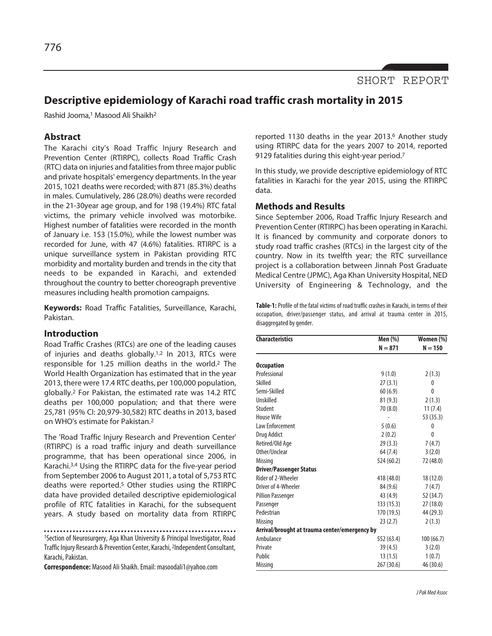

# **Descriptive epidemiology of Karachi road traffic crash mortality in 2015**

Rashid Jooma, <sup>1</sup> Masood Ali Shaikh2

## **Abstract**

The Karachi city's Road Traffic Injury Research and Prevention Center (RTIRPC), collects Road Traffic Crash (RTC) data on injuries and fatalities from three major public and private hospitals' emergency departments. In the year 2015, 1021 deaths were recorded; with 871 (85.3%) deaths in males. Cumulatively, 286 (28.0%) deaths were recorded in the 21-30year age group, and for 198 (19.4%) RTC fatal victims, the primary vehicle involved was motorbike. Highest number of fatalities were recorded in the month of January i.e. 153 (15.0%), while the lowest number was recorded for June, with 47 (4.6%) fatalities. RTIRPC is a unique surveillance system in Pakistan providing RTC morbidity and mortality burden and trends in the city that needs to be expanded in Karachi, and extended throughout the country to better choreograph preventive measures including health promotion campaigns.

**Keywords:** Road Traffic Fatalities, Surveillance, Karachi, Pakistan.

#### **Introduction**

Road Traffic Crashes (RTCs) are one of the leading causes of injuries and deaths globally.<sup>1,2</sup> In 2013, RTCs were responsible for 1.25 million deaths in the world. <sup>2</sup> The World Health Organization has estimated that in the year 2013, there were 17.4 RTC deaths, per 100,000 population, globally. <sup>2</sup> For Pakistan, the estimated rate was 14.2 RTC deaths per 100,000 population; and that there were 25,781 (95% CI: 20,979-30,582) RTC deaths in 2013, based on WHO's estimate for Pakistan. 2

The 'Road Traffic Injury Research and Prevention Center' (RTIRPC) is a road traffic injury and death surveillance programme, that has been operational since 2006, in Karachi. 3,4 Using the RTIRPC data for the five-year period from September 2006 to August 2011, a total of 5,753 RTC deaths were reported. <sup>5</sup> Other studies using the RTIRPC data have provided detailed descriptive epidemiological profile of RTC fatalities in Karachi, for the subsequent years. A study based on mortality data from RTIRPC

1Section of Neurosurgery, Aga Khan University & Principal Investigator, Road Traffic Injury Research & Prevention Center, Karachi, <sup>2</sup>Independent Consultant, Karachi, Pakistan.

**Correspondence:** Masood AliShaikh.Email: masoodali1@yahoo.com

reported 1130 deaths in the year 2013. <sup>6</sup> Another study using RTIRPC data for the years 2007 to 2014, reported 9129 fatalities during this eight-year period.7

In this study, we provide descriptive epidemiology of RTC fatalities in Karachi for the year 2015, using the RTIRPC data.

#### **Methods and Results**

Since September 2006, Road Traffic Injury Research and Prevention Center (RTIRPC) has been operating in Karachi. It is financed by community and corporate donors to study road traffic crashes (RTCs) in the largest city of the country. Now in its twelfth year; the RTC surveillance project is a collaboration between Jinnah Post Graduate Medical Centre (JPMC), Aga Khan University Hospital, NED University of Engineering & Technology, and the

Table-1: Profile of the fatal victims of road traffic crashes in Karachi, in terms of their occupation, driver/passenger status, and arrival at trauma center in 2015, disaggregated by gender.

| <b>Characteristics</b>                        | Men (%)    | Women (%)<br>$N = 150$ |
|-----------------------------------------------|------------|------------------------|
|                                               | $N = 871$  |                        |
| <b>Occupation</b>                             |            |                        |
| Professional                                  | 9(1.0)     | 2(1.3)                 |
| Skilled                                       | 27(3.1)    | 0                      |
| Semi-Skilled                                  | 60(6.9)    | 0                      |
| Unskilled                                     | 81(9.3)    | 2(1.3)                 |
| Student                                       | 70 (8.0)   | 11(7.4)                |
| <b>House Wife</b>                             |            | 53 (35.3)              |
| <b>Law Enforcement</b>                        | 5(0.6)     | 0                      |
| Drug Addict                                   | 2(0.2)     | 0                      |
| Retired/Old Age                               | 29(3.3)    | 7(4.7)                 |
| Other/Unclear                                 | 64 (7.4)   | 3(2.0)                 |
| <b>Missing</b>                                | 524 (60.2) | 72 (48.0)              |
| <b>Driver/Passenger Status</b>                |            |                        |
| Rider of 2-Wheeler                            | 418 (48.0) | 18(12.0)               |
| Driver of 4-Wheeler                           | 84 (9.6)   | 7(4.7)                 |
| <b>Pillion Passenger</b>                      | 43 (4.9)   | 52 (34.7)              |
| Passenger                                     | 133 (15.3) | 27 (18.0)              |
| Pedestrian                                    | 170 (19.5) | 44 (29.3)              |
| <b>Missing</b>                                | 23(2.7)    | 2(1.3)                 |
| Arrival/brought at trauma center/emergency by |            |                        |
| Ambulance                                     | 552 (63.4) | 100(66.7)              |
| Private                                       | 39 (4.5)   | 3(2.0)                 |
| Public                                        | 13(1.5)    | 1(0.7)                 |
| <b>Missing</b>                                | 267 (30.6) | 46 (30.6)              |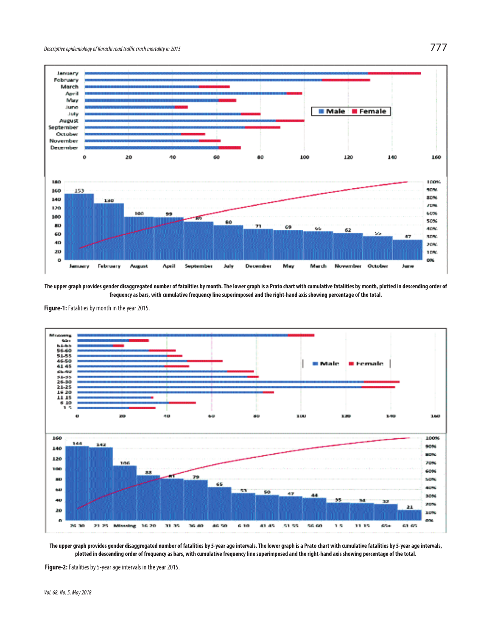

The upper graph provides gender disaggregated number of fatalities by month. The lower graph is a Prato chart with cumulative fatalities by month, plotted in descending order of frequency as bars, with cumulative frequency line superimposed and the right-hand axis showing percentage of the total.

Figure-1: Fatalities by month in the year 2015.





Figure-2: Fatalities by 5-year age intervals in the year 2015.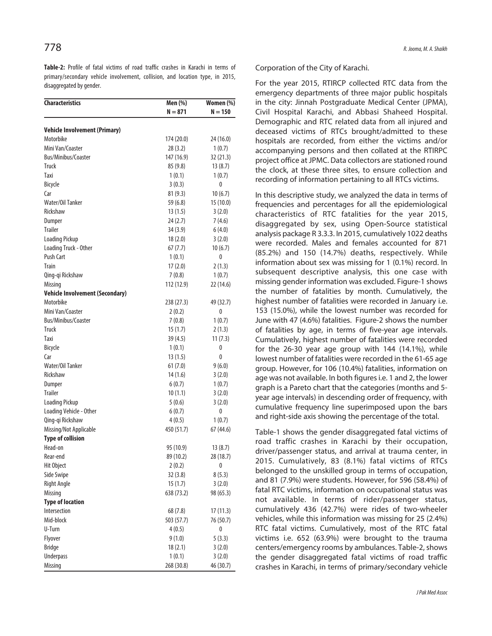**Table-2:** Profile of fatal victims of road traffic crashes in Karachi in terms of primary/secondary vehicle involvement, collision, and location type, in 2015, disaggregated by gender.

| <b>Characteristics</b>                  | Men (%)            | Women (%) |
|-----------------------------------------|--------------------|-----------|
|                                         | $N = 871$          | N = 150   |
| <b>Vehicle Involvement (Primary)</b>    |                    |           |
| Motorbike                               | 174 (20.0)         | 24 (16.0) |
| Mini Van/Coaster                        | 28(3.2)            | 1(0.7)    |
| Bus/Minibus/Coaster                     | 147 (16.9)         | 32 (21.3) |
| <b>Truck</b>                            | 85 (9.8)           | 13(8.7)   |
| Taxi                                    | 1(0.1)             | 1(0.7)    |
| Bicycle                                 | 3(0.3)             | 0         |
| Car                                     | 81(9.3)            | 10(6.7)   |
| Water/Oil Tanker                        | 59 (6.8)           | 15 (10.0) |
| Rickshaw                                | 13(1.5)            | 3(2.0)    |
| Dumper                                  | 24(2.7)            | 7(4.6)    |
| <b>Trailer</b>                          | 34(3.9)            | 6(4.0)    |
| <b>Loading Pickup</b>                   | 18(2.0)            | 3(2.0)    |
| Loading Truck - Other                   | 67(7.7)            | 10(6.7)   |
| <b>Push Cart</b>                        | 1(0.1)             | 0         |
| <b>Train</b>                            | 17(2.0)            | 2(1.3)    |
| Qing-qi Rickshaw                        | 7(0.8)             | 1(0.7)    |
| Missing                                 | 112 (12.9)         | 22 (14.6) |
| <b>Vehicle Involvement (Secondary)</b>  |                    |           |
| Motorbike                               | 238 (27.3)         | 49 (32.7) |
| Mini Van/Coaster                        | 2(0.2)             | 0         |
| <b>Bus/Minibus/Coaster</b>              | 7(0.8)             | 1(0.7)    |
| <b>Truck</b>                            | 15(1.7)            | 2(1.3)    |
| Taxi                                    |                    |           |
| Bicycle                                 | 39 (4.5)<br>1(0.1) | 11(7.3)   |
| Car                                     | 13(1.5)            | 0<br>0    |
| Water/Oil Tanker                        | 61(7.0)            |           |
| Rickshaw                                |                    | 9(6.0)    |
|                                         | 14 (1.6)           | 3(2.0)    |
| Dumper<br><b>Trailer</b>                | 6(0.7)             | 1(0.7)    |
|                                         | 10(1.1)            | 3(2.0)    |
| <b>Loading Pickup</b>                   | 5(0.6)             | 3(2.0)    |
| Loading Vehicle - Other                 | 6(0.7)             | 0         |
| Qing-qi Rickshaw                        | 4(0.5)             | 1(0.7)    |
| Missing/Not Applicable                  | 450 (51.7)         | 67(44.6)  |
| <b>Type of collision</b><br>Head-on     |                    |           |
|                                         | 95 (10.9)          | 13(8.7)   |
| Rear-end                                | 89 (10.2)          | 28 (18.7) |
| Hit Object                              | 2(0.2)             | 0         |
| Side Swipe                              | 32(3.8)            | 8(5.3)    |
| <b>Right Angle</b>                      | 15(1.7)            | 3(2.0)    |
| <b>Missing</b>                          | 638 (73.2)         | 98 (65.3) |
| <b>Type of location</b><br>Intersection |                    |           |
|                                         | 68 (7.8)           | 17(11.3)  |
| Mid-block                               | 503 (57.7)         | 76 (50.7) |
| U-Turn                                  | 4(0.5)             | 0         |
| Flyover                                 | 9(1.0)             | 5(3.3)    |
| <b>Bridge</b>                           | 18(2.1)            | 3(2.0)    |
| Underpass                               | 1(0.1)             | 3(2.0)    |
| Missing                                 | 268 (30.8)         | 46 (30.7) |

Corporation of the City of Karachi.

For the year 2015, RTIRCP collected RTC data from the emergency departments of three major public hospitals in the city: Jinnah Postgraduate Medical Center (JPMA), Civil Hospital Karachi, and Abbasi Shaheed Hospital. Demographic and RTC related data from all injured and deceased victims of RTCs brought/admitted to these hospitals are recorded, from either the victims and/or accompanying persons and then collated at the RTIRPC project office at JPMC. Data collectors are stationed round the clock, at these three sites, to ensure collection and recording of information pertaining to all RTCs victims.

In this descriptive study, we analyzed the data in terms of frequencies and percentages for all the epidemiological characteristics of RTC fatalities for the year 2015, disaggregated by sex, using Open-Source statistical analysis package R 3.3.3. In 2015, cumulatively 1022 deaths were recorded. Males and females accounted for 871 (85.2%) and 150 (14.7%) deaths, respectively. While information about sex was missing for 1 (0.1%) record. In subsequent descriptive analysis, this one case with missing gender information was excluded. Figure-1 shows the number of fatalities by month. Cumulatively, the highest number of fatalities were recorded in January i.e. 153 (15.0%), while the lowest number was recorded for June with 47 (4.6%) fatalities. Figure-2 shows the number of fatalities by age, in terms of five-year age intervals. Cumulatively, highest number of fatalities were recorded for the 26-30 year age group with 144 (14.1%), while lowest number of fatalities were recorded in the 61-65 age group. However, for 106 (10.4%) fatalities, information on age was not available. In both figures i.e. 1 and 2, the lower graph is a Pareto chart that the categories (months and 5 year age intervals) in descending order of frequency, with cumulative frequency line superimposed upon the bars and right-side axis showing the percentage of the total.

Table-1 shows the gender disaggregated fatal victims of road traffic crashes in Karachi by their occupation, driver/passenger status, and arrival at trauma center, in 2015. Cumulatively, 83 (8.1%) fatal victims of RTCs belonged to the unskilled group in terms of occupation, and 81 (7.9%) were students. However, for 596 (58.4%) of fatal RTC victims, information on occupational status was not available. In terms of rider/passenger status, cumulatively 436 (42.7%) were rides of two-wheeler vehicles, while this information was missing for 25 (2.4%) RTC fatal victims. Cumulatively, most of the RTC fatal victims i.e. 652 (63.9%) were brought to the trauma centers/emergency rooms by ambulances. Table-2, shows the gender disaggregated fatal victims of road traffic crashes in Karachi, in terms of primary/secondary vehicle